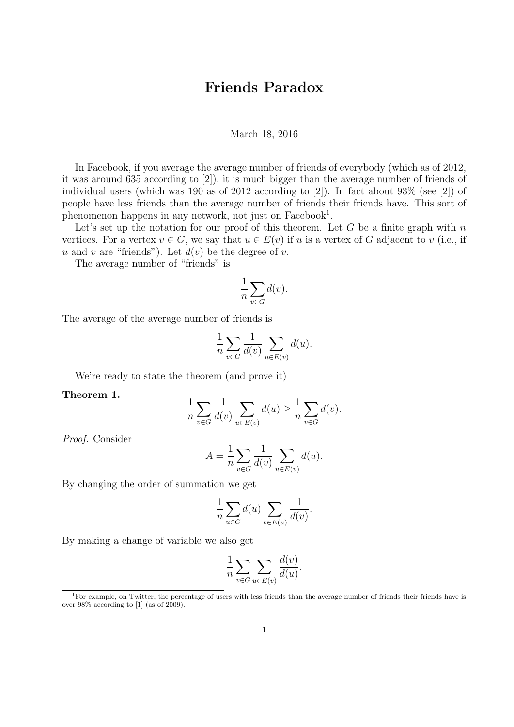## Friends Paradox

## March 18, 2016

In Facebook, if you average the average number of friends of everybody (which as of 2012, it was around 635 according to [2]), it is much bigger than the average number of friends of individual users (which was 190 as of 2012 according to [2]). In fact about 93% (see [2]) of people have less friends than the average number of friends their friends have. This sort of phenomenon happens in any network, not just on Facebook<sup>1</sup>.

Let's set up the notation for our proof of this theorem. Let  $G$  be a finite graph with  $n$ vertices. For a vertex  $v \in G$ , we say that  $u \in E(v)$  if u is a vertex of G adjacent to v (i.e., if u and v are "friends"). Let  $d(v)$  be the degree of v.

The average number of "friends" is

$$
\frac{1}{n}\sum_{v \in G} d(v).
$$

The average of the average number of friends is

$$
\frac{1}{n}\sum_{v\in G}\frac{1}{d(v)}\sum_{u\in E(v)}d(u).
$$

We're ready to state the theorem (and prove it)

Theorem 1.

$$
\frac{1}{n}\sum_{v\in G}\frac{1}{d(v)}\sum_{u\in E(v)}d(u)\geq \frac{1}{n}\sum_{v\in G}d(v).
$$

Proof. Consider

$$
A = \frac{1}{n} \sum_{v \in G} \frac{1}{d(v)} \sum_{u \in E(v)} d(u).
$$

By changing the order of summation we get

$$
\frac{1}{n} \sum_{u \in G} d(u) \sum_{v \in E(u)} \frac{1}{d(v)}.
$$

By making a change of variable we also get

$$
\frac{1}{n} \sum_{v \in G} \sum_{u \in E(v)} \frac{d(v)}{d(u)}.
$$

<sup>&</sup>lt;sup>1</sup>For example, on Twitter, the percentage of users with less friends than the average number of friends their friends have is over 98% according to [1] (as of 2009).